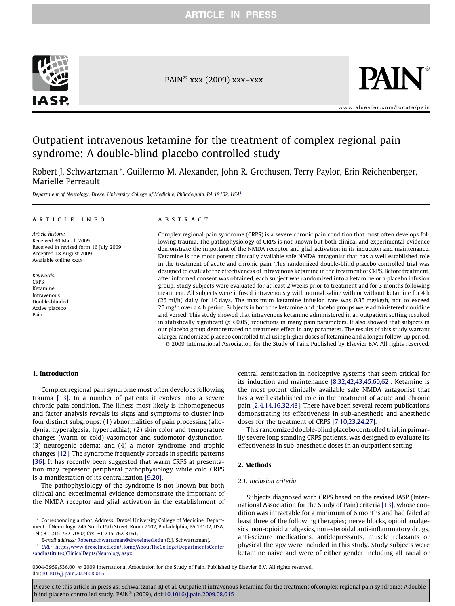

PAIN<sup>®</sup> xxx (2009) xxx–xxx



[www.elsevier.com/locate/pain](http://www.elsevier.com/locate/pain)

# Outpatient intravenous ketamine for the treatment of complex regional pain syndrome: A double-blind placebo controlled study

Robert J. Schwartzman \*, Guillermo M. Alexander, John R. Grothusen, Terry Paylor, Erin Reichenberger, Marielle Perreault

Department of Neurology, Drexel University College of Medicine, Philadelphia, PA 19102, USA<sup>1</sup>

#### article info

Article history: Received 30 March 2009 Received in revised form 16 July 2009 Accepted 18 August 2009 Available online xxxx

Keywords: **CRPS** Ketamine Intravenous Double-blinded Active placebo Pain

#### **ABSTRACT**

Complex regional pain syndrome (CRPS) is a severe chronic pain condition that most often develops following trauma. The pathophysiology of CRPS is not known but both clinical and experimental evidence demonstrate the important of the NMDA receptor and glial activation in its induction and maintenance. Ketamine is the most potent clinically available safe NMDA antagonist that has a well established role in the treatment of acute and chronic pain. This randomized double-blind placebo controlled trial was designed to evaluate the effectiveness of intravenous ketamine in the treatment of CRPS. Before treatment, after informed consent was obtained, each subject was randomized into a ketamine or a placebo infusion group. Study subjects were evaluated for at least 2 weeks prior to treatment and for 3 months following treatment. All subjects were infused intravenously with normal saline with or without ketamine for 4 h (25 ml/h) daily for 10 days. The maximum ketamine infusion rate was 0.35 mg/kg/h, not to exceed 25 mg/h over a 4 h period. Subjects in both the ketamine and placebo groups were administered clonidine and versed. This study showed that intravenous ketamine administered in an outpatient setting resulted in statistically significant ( $p < 0.05$ ) reductions in many pain parameters. It also showed that subjects in our placebo group demonstrated no treatment effect in any parameter. The results of this study warrant a larger randomized placebo controlled trial using higher doses of ketamine and a longer follow-up period. - 2009 International Association for the Study of Pain. Published by Elsevier B.V. All rights reserved.

## 1. Introduction

Complex regional pain syndrome most often develops following trauma [\[13\].](#page-7-0) In a number of patients it evolves into a severe chronic pain condition. The illness most likely is inhomogeneous and factor analysis reveals its signs and symptoms to cluster into four distinct subgroups: (1) abnormalities of pain processing (allodynia, hyperalgesia, hyperpathia); (2) skin color and temperature changes (warm or cold) vasomotor and sudomotor dysfunction; (3) neurogenic edema; and (4) a motor syndrome and trophic changes [\[12\]](#page-7-0). The syndrome frequently spreads in specific patterns [\[36\]](#page-8-0). It has recently been suggested that warm CRPS at presentation may represent peripheral pathophysiology while cold CRPS is a manifestation of its centralization [\[9,20\].](#page-7-0)

The pathophysiology of the syndrome is not known but both clinical and experimental evidence demonstrate the important of the NMDA receptor and glial activation in the establishment of central sensitization in nociceptive systems that seem critical for its induction and maintenance [\[8,32,42,43,45,60,62\].](#page-7-0) Ketamine is the most potent clinically available safe NMDA antagonist that has a well established role in the treatment of acute and chronic pain [\[2,4,14,16,32,43\]](#page-7-0). There have been several recent publications demonstrating its effectiveness in sub-anesthetic and anesthetic doses for the treatment of CRPS [\[7,10,23,24,27\]](#page-7-0).

This randomized double-blind placebo controlled trial, in primarily severe long standing CRPS patients, was designed to evaluate its effectiveness in sub-anesthetic doses in an outpatient setting.

## 2. Methods

## 2.1. Inclusion criteria

Subjects diagnosed with CRPS based on the revised IASP (International Association for the Study of Pain) criteria [\[13\]](#page-7-0), whose condition was intractable for a minimum of 6 months and had failed at least three of the following therapies; nerve blocks, opioid analgesics, non-opioid analgesics, non-steroidal anti-inflammatory drugs, anti-seizure medications, antidepressants, muscle relaxants or physical therapy were included in this study. Study subjects were ketamine naive and were of either gender including all racial or

0304-3959/\$36.00 © 2009 International Association for the Study of Pain. Published by Elsevier B.V. All rights reserved. doi[:10.1016/j.pain.2009.08.015](http://dx.doi.org/10.1016/j.pain.2009.08.015)

<sup>\*</sup> Corresponding author. Address: Drexel University College of Medicine, Department of Neurology, 245 North 15th Street, Room 7102, Philadelphia, PA 19102, USA. Tel.: +1 215 762 7090; fax: +1 215 762 3161.

E-mail address: [Robert.schwartzman@drexelmed.edu](mailto:Robert.schwartzman@drexelmed.edu) (R.J. Schwartzman).

<sup>1</sup> URL: [http://www.drexelmed.edu/Home/AboutTheCollege/DepartmentsCenter](http://www.drexelmed.edu/Home/AboutTheCollege/DepartmentsCentersandInstitutes/ClinicalDepts/Neurology.aspx) [sandInstitutes/ClinicalDepts/Neurology.aspx](http://www.drexelmed.edu/Home/AboutTheCollege/DepartmentsCentersandInstitutes/ClinicalDepts/Neurology.aspx).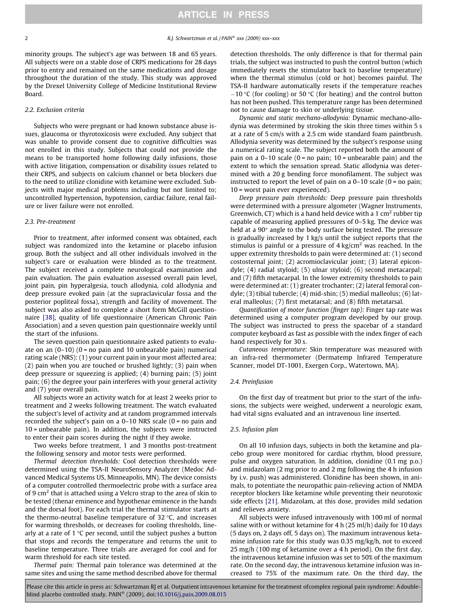minority groups. The subject's age was between 18 and 65 years. All subjects were on a stable dose of CRPS medications for 28 days prior to entry and remained on the same medications and dosage throughout the duration of the study. This study was approved by the Drexel University College of Medicine Institutional Review Board.

#### 2.2. Exclusion criteria

Subjects who were pregnant or had known substance abuse issues, glaucoma or thyrotoxicosis were excluded. Any subject that was unable to provide consent due to cognitive difficulties was not enrolled in this study. Subjects that could not provide the means to be transported home following daily infusions, those with active litigation, compensation or disability issues related to their CRPS, and subjects on calcium channel or beta blockers due to the need to utilize clonidine with ketamine were excluded. Subjects with major medical problems including but not limited to; uncontrolled hypertension, hypotension, cardiac failure, renal failure or liver failure were not enrolled.

## 2.3. Pre-treatment

Prior to treatment, after informed consent was obtained, each subject was randomized into the ketamine or placebo infusion group. Both the subject and all other individuals involved in the subject's care or evaluation were blinded as to the treatment. The subject received a complete neurological examination and pain evaluation. The pain evaluation assessed overall pain level, joint pain, pin hyperalgesia, touch allodynia, cold allodynia and deep pressure evoked pain (at the supraclavicular fossa and the posterior popliteal fossa), strength and facility of movement. The subject was also asked to complete a short form McGill questionnaire [\[38\]](#page-8-0), quality of life questionnaire (American Chronic Pain Association) and a seven question pain questionnaire weekly until the start of the infusions.

The seven question pain questionnaire asked patients to evaluate on an  $(0-10)$   $(0 = no$  pain and 10 unbearable pain) numerical rating scale (NRS): (1) your current pain in your most affected area; (2) pain when you are touched or brushed lightly; (3) pain when deep pressure or squeezing is applied; (4) burning pain; (5) joint pain; (6) the degree your pain interferes with your general activity and (7) your overall pain.

All subjects wore an activity watch for at least 2 weeks prior to treatment and 2 weeks following treatment. The watch evaluated the subject's level of activity and at random programmed intervals recorded the subject's pain on a  $0-10$  NRS scale  $(0 = no$  pain and 10 = unbearable pain). In addition, the subjects were instructed to enter their pain scores during the night if they awoke.

Two weeks before treatment, 1 and 3 months post-treatment the following sensory and motor tests were performed.

Thermal detection thresholds: Cool detection thresholds were determined using the TSA-II NeuroSensory Analyzer (Medoc Advanced Medical Systems US, Minneapolis, MN). The device consists of a computer controlled thermoelectric probe with a surface area of 9  $\text{cm}^2$  that is attached using a Velcro strap to the area of skin to be tested (thenar eminence and hypothenar eminence in the hands and the dorsal foot). For each trial the thermal stimulator starts at the thermo-neutral baseline temperature of  $32$  °C, and increases for warming thresholds, or decreases for cooling thresholds, linearly at a rate of  $1 \,^{\circ}$ C per second, until the subject pushes a button that stops and records the temperature and returns the unit to baseline temperature. Three trials are averaged for cool and for warm threshold for each site tested.

Thermal pain: Thermal pain tolerance was determined at the same sites and using the same method described above for thermal detection thresholds. The only difference is that for thermal pain trials, the subject was instructed to push the control button (which immediately resets the stimulator back to baseline temperature) when the thermal stimulus (cold or hot) becomes painful. The TSA-II hardware automatically resets if the temperature reaches  $-10$  °C (for cooling) or 50 °C (for heating) and the control button has not been pushed. This temperature range has been determined not to cause damage to skin or underlying tissue.

Dynamic and static mechano-allodynia: Dynamic mechano-allodynia was determined by stroking the skin three times within 5 s at a rate of 5 cm/s with a 2.5 cm wide standard foam paintbrush. Allodynia severity was determined by the subject's response using a numerical rating scale. The subject reported both the amount of pain on a  $0-10$  scale ( $0 =$  no pain;  $10 =$  unbearable pain) and the extent to which the sensation spread. Static allodynia was determined with a 20 g bending force monofilament. The subject was instructed to report the level of pain on a  $0-10$  scale  $(0 =$  no pain; 10 = worst pain ever experienced).

Deep pressure pain thresholds: Deep pressure pain thresholds were determined with a pressure algometer (Wagner Instruments, Greenwich, CT) which is a hand held device with a 1 cm<sup>2</sup> rubber tip capable of measuring applied pressures of 0–5 kg. The device was held at a  $90^\circ$  angle to the body surface being tested. The pressure is gradually increased by 1 kg/s until the subject reports that the stimulus is painful or a pressure of  $4 \text{ kg/cm}^2$  was reached. In the upper extremity thresholds to pain were determined at: (1) second costosternal joint; (2) acromioclavicular joint; (3) lateral epicondyle; (4) radial styloid; (5) ulnar styloid; (6) second metacarpal; and (7) fifth metacarpal. In the lower extremity thresholds to pain were determined at: (1) greater trochanter; (2) lateral femoral condyle; (3) tibial tubercle; (4) mid-shin; (5) medial malleolus; (6) lateral malleolus; (7) first metatarsal; and (8) fifth metatarsal.

Quantification of motor function (finger tap): Finger tap rate was determined using a computer program developed by our group. The subject was instructed to press the spacebar of a standard computer keyboard as fast as possible with the index finger of each hand respectively for 30 s.

Cutaneous temperature: Skin temperature was measured with an infra-red thermometer (Dermatemp Infrared Temperature Scanner, model DT-1001, Exergen Corp., Watertown, MA).

#### 2.4. Preinfusion

On the first day of treatment but prior to the start of the infusions, the subjects were weighed, underwent a neurologic exam, had vital signs evaluated and an intravenous line inserted.

#### 2.5. Infusion plan

On all 10 infusion days, subjects in both the ketamine and placebo group were monitored for cardiac rhythm, blood pressure, pulse and oxygen saturation. In addition, clonidine (0.1 mg p.o.) and midazolam (2 mg prior to and 2 mg following the 4 h infusion by i.v. push) was administered. Clonidine has been shown, in animals, to potentiate the neuropathic pain-relieving action of NMDA receptor blockers like ketamine while preventing their neurotoxic side effects [\[21\]](#page-7-0). Midazolam, at this dose, provides mild sedation and relieves anxiety.

All subjects were infused intravenously with 100 ml of normal saline with or without ketamine for 4 h (25 ml/h) daily for 10 days (5 days on, 2 days off, 5 days on). The maximum intravenous ketamine infusion rate for this study was 0.35 mg/kg/h, not to exceed 25 mg/h (100 mg of ketamine over a 4 h period). On the first day, the intravenous ketamine infusion was set to 50% of the maximum rate. On the second day, the intravenous ketamine infusion was increased to 75% of the maximum rate. On the third day, the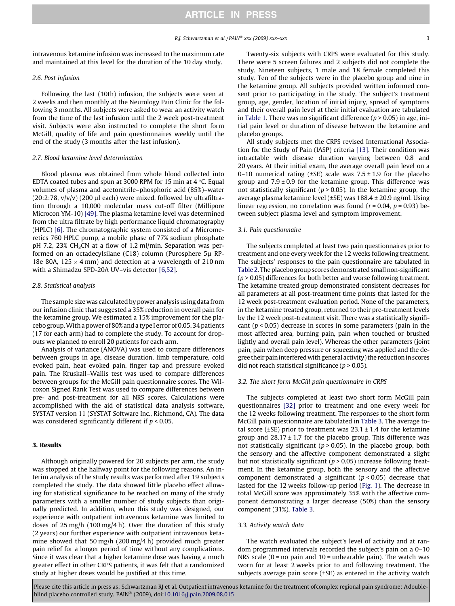intravenous ketamine infusion was increased to the maximum rate and maintained at this level for the duration of the 10 day study.

#### 2.6. Post infusion

Following the last (10th) infusion, the subjects were seen at 2 weeks and then monthly at the Neurology Pain Clinic for the following 3 months. All subjects were asked to wear an activity watch from the time of the last infusion until the 2 week post-treatment visit. Subjects were also instructed to complete the short form McGill, quality of life and pain questionnaires weekly until the end of the study (3 months after the last infusion).

## 2.7. Blood ketamine level determination

Blood plasma was obtained from whole blood collected into EDTA coated tubes and spun at 3000 RPM for 15 min at 4  $\degree$ C. Equal volumes of plasma and acetonitrile–phosphoric acid (85%)–water  $(20:2:78, v/v/v)$  (200 µl each) were mixed, followed by ultrafiltration through a 10,000 molecular mass cut-off filter (Millipore Microcon YM-10) [\[49\]](#page-8-0). The plasma ketamine level was determined from the ultra filtrate by high performance liquid chromatography (HPLC) [\[6\].](#page-7-0) The chromatographic system consisted of a Micromeretics 760 HPLC pump, a mobile phase of 77% sodium phosphate pH 7.2, 23% CH<sub>3</sub>CN at a flow of 1.2 ml/min. Separation was performed on an octadecylsilane (C18) column (Purosphere  $5\mu$  RP-18e 80A, 125  $\times$  4 mm) and detection at a wavelength of 210 nm with a Shimadzu SPD-20A UV–vis detector [\[6,52\]](#page-7-0).

#### 2.8. Statistical analysis

The sample size was calculated by power analysis using data from our infusion clinic that suggested a 35% reduction in overall pain for the ketamine group. We estimated a 15% improvement for the placebo group.With a power of 80% and a type I error of 0.05, 34 patients (17 for each arm) had to complete the study. To account for dropouts we planned to enroll 20 patients for each arm.

Analysis of variance (ANOVA) was used to compare differences between groups in age, disease duration, limb temperature, cold evoked pain, heat evoked pain, finger tap and pressure evoked pain. The Kruskall–Wallis test was used to compare differences between groups for the McGill pain questionnaire scores. The Wilcoxon Signed Rank Test was used to compare differences between pre- and post-treatment for all NRS scores. Calculations were accomplished with the aid of statistical data analysis software, SYSTAT version 11 (SYSTAT Software Inc., Richmond, CA). The data was considered significantly different if  $p < 0.05$ .

## 3. Results

Although originally powered for 20 subjects per arm, the study was stopped at the halfway point for the following reasons. An interim analysis of the study results was performed after 19 subjects completed the study. The data showed little placebo effect allowing for statistical significance to be reached on many of the study parameters with a smaller number of study subjects than originally predicted. In addition, when this study was designed, our experience with outpatient intravenous ketamine was limited to doses of 25 mg/h (100 mg/4 h). Over the duration of this study (2 years) our further experience with outpatient intravenous ketamine showed that 50 mg/h (200 mg/4 h) provided much greater pain relief for a longer period of time without any complications. Since it was clear that a higher ketamine dose was having a much greater effect in other CRPS patients, it was felt that a randomized study at higher doses would be justified at this time.

Twenty-six subjects with CRPS were evaluated for this study. There were 5 screen failures and 2 subjects did not complete the study. Nineteen subjects, 1 male and 18 female completed this study. Ten of the subjects were in the placebo group and nine in the ketamine group. All subjects provided written informed consent prior to participating in the study. The subject's treatment group, age, gender, location of initial injury, spread of symptoms and their overall pain level at their initial evaluation are tabulated in [Table 1](#page-3-0). There was no significant difference ( $p > 0.05$ ) in age, initial pain level or duration of disease between the ketamine and placebo groups.

All study subjects met the CRPS revised International Association for the Study of Pain (IASP) criteria [\[13\]](#page-7-0). Their condition was intractable with disease duration varying between 0.8 and 20 years. At their initial exam, the average overall pain level on a 0–10 numerical rating ( $\pm$ SE) scale was 7.5  $\pm$  1.9 for the placebo group and  $7.9 \pm 0.9$  for the ketamine group. This difference was not statistically significant ( $p > 0.05$ ). In the ketamine group, the average plasma ketamine level (±SE) was 188.4 ± 20.9 ng/ml. Using linear regression, no correlation was found ( $r = 0.04$ ,  $p = 0.93$ ) between subject plasma level and symptom improvement.

#### 3.1. Pain questionnaire

The subjects completed at least two pain questionnaires prior to treatment and one every week for the 12 weeks following treatment. The subjects' responses to the pain questionnaire are tabulated in [Table 2](#page-4-0). The placebo group scores demonstrated small non-significant  $(p > 0.05)$  differences for both better and worse following treatment. The ketamine treated group demonstrated consistent decreases for all parameters at all post-treatment time points that lasted for the 12 week post-treatment evaluation period. None of the parameters, in the ketamine treated group, returned to their pre-treatment levels by the 12 week post-treatment visit. There was a statistically significant ( $p < 0.05$ ) decrease in scores in some parameters (pain in the most affected area, burning pain, pain when touched or brushed lightly and overall pain level). Whereas the other parameters (joint pain, pain when deep pressure or squeezing was applied and the degree their pain interferedwith general activity) the reduction in scores did not reach statistical significance ( $p > 0.05$ ).

#### 3.2. The short form McGill pain questionnaire in CRPS

The subjects completed at least two short form McGill pain questionnaires [\[32\]](#page-7-0) prior to treatment and one every week for the 12 weeks following treatment. The responses to the short form McGill pain questionnaire are tabulated in [Table 3](#page-4-0). The average total score ( $\pm$ SE) prior to treatment was 23.1  $\pm$  1.4 for the ketamine group and  $28.17 \pm 1.7$  for the placebo group. This difference was not statistically significant ( $p > 0.05$ ). In the placebo group, both the sensory and the affective component demonstrated a slight but not statistically significant ( $p > 0.05$ ) increase following treatment. In the ketamine group, both the sensory and the affective component demonstrated a significant ( $p < 0.05$ ) decrease that lasted for the 12 weeks follow-up period [\(Fig. 1\)](#page-5-0). The decrease in total McGill score was approximately 35% with the affective component demonstrating a larger decrease (50%) than the sensory component (31%), [Table 3.](#page-4-0)

#### 3.3. Activity watch data

The watch evaluated the subject's level of activity and at random programmed intervals recorded the subject's pain on a 0–10 NRS scale  $(0 = no$  pain and  $10 =$  unbearable pain). The watch was worn for at least 2 weeks prior to and following treatment. The subjects average pain score (±SE) as entered in the activity watch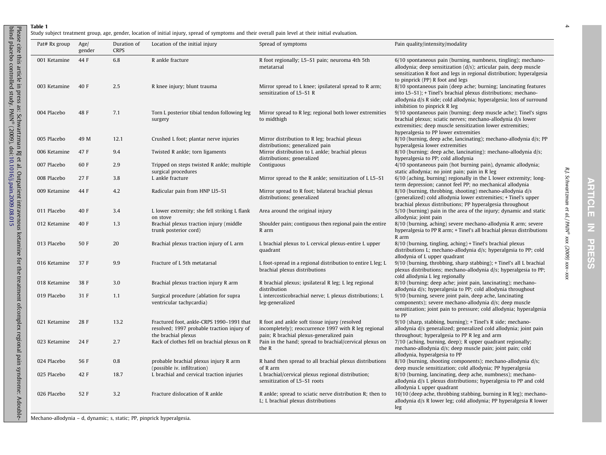Table 1

<span id="page-3-0"></span>

| Pat# Rx group | Age/<br>gender | Duration of<br><b>CRPS</b> | Location of the initial injury                                                                                 | Spread of symptoms                                                                                                                                | Pain quality/intensity/modality                                                                                                                                                                                                                  |
|---------------|----------------|----------------------------|----------------------------------------------------------------------------------------------------------------|---------------------------------------------------------------------------------------------------------------------------------------------------|--------------------------------------------------------------------------------------------------------------------------------------------------------------------------------------------------------------------------------------------------|
| 001 Ketamine  | 44 F           | 6.8                        | R ankle fracture                                                                                               | R foot regionally; L5-S1 pain; neuroma 4th 5th<br>metatarsal                                                                                      | 6/10 spontaneous pain (burning, numbness, tingling); mechano-<br>allodynia; deep sensitization $(d/s)$ ; articular pain, deep muscle<br>sensitization R foot and legs in regional distribution; hyperalgesia<br>to pinprick (PP) R foot and legs |
| 003 Ketamine  | 40 F           | 2.5                        | R knee injury; blunt trauma                                                                                    | Mirror spread to L knee; ipsilateral spread to R arm;<br>sensitization of L5-S1 R                                                                 | 8/10 spontaneous pain (deep ache; burning; lancinating features<br>into L5-S1); + Tinel's brachial plexus distributions; mechano-<br>allodynia d/s R side; cold allodynia; hyperalgesia; loss of surround<br>inhibition to pinprick R leg        |
| 004 Placebo   | 48 F           | 7.1                        | Torn L posterior tibial tendon following leg<br>surgery                                                        | Mirror spread to R leg; regional both lower extremities<br>to midthigh                                                                            | 9/10 spontaneous pain (burning; deep muscle ache); Tinel's signs<br>brachial plexus; sciatic nerves; mechano-allodynia d/s lower<br>extremities; deep muscle sensitization lower extremities;<br>hyperalgesia to PP lower extremities            |
| 005 Placebo   | 49 M           | 12.1                       | Crushed L foot; plantar nerve injuries                                                                         | Mirror distribution to R leg; brachial plexus<br>distributions; generalized pain                                                                  | 8/10 (burning, deep ache, lancinating); mechano-allodynia d/s; PP<br>hyperalgesia lower extremities                                                                                                                                              |
| 006 Ketamine  | 47 F           | 9.4                        | Twisted R ankle; torn ligaments                                                                                | Mirror distribution to L ankle; brachial plexus<br>distributions; generalized                                                                     | 8/10 (burning; deep ache, lancinating): mechano-allodynia d/s;<br>hyperalgesia to PP; cold allodynia                                                                                                                                             |
| 007 Placebo   | 60 F           | 2.9                        | Tripped on steps twisted R ankle; multiple<br>surgical procedures                                              | Contiguous                                                                                                                                        | 4/10 spontaneous pain (hot burning pain), dynamic allodynia;<br>static allodynia; no joint pain; pain in R leg                                                                                                                                   |
| 008 Placebo   | 27F            | 3.8                        | L ankle fracture                                                                                               | Mirror spread to the R ankle; sensitization of L L5-S1                                                                                            | 6/10 (aching, burning) regionally in the L lower extremity; long-<br>term depression; cannot feel PP; no mechanical allodynia                                                                                                                    |
| 009 Ketamine  | 44 F           | 4.2                        | Radicular pain from HNP LI5-S1                                                                                 | Mirror spread to R foot; bilateral brachial plexus<br>distributions; generalized                                                                  | 8/10 (burning, throbbing, shooting) mechano-allodynia d/s<br>(generalized) cold allodynia lower extremities; + Tinel's upper<br>brachial plexus distributions; PP hyperalgesia throughout                                                        |
| 011 Placebo   | 40 F           | 3.4                        | L lower extremity; she fell striking L flank<br>on stove                                                       | Area around the original injury                                                                                                                   | 5/10 (burning) pain in the area of the injury; dynamic and static<br>allodynia; joint pain                                                                                                                                                       |
| 012 Ketamine  | 40 F           | 1.3                        | Brachial plexus traction injury (middle<br>trunk posterior cord)                                               | Shoulder pain; contiguous then regional pain the entire<br>R arm                                                                                  | 8/10 (burning, aching) severe mechano-allodynia R arm; severe<br>hyperalgesia to PP R arm; + Tinel's all brachial plexus distributions<br>R arm                                                                                                  |
| 013 Placebo   | 50 F           | 20                         | Brachial plexus traction injury of L arm                                                                       | L brachial plexus to L cervical plexus-entire L upper<br>quadrant                                                                                 | 8/10 (burning, tingling, aching) + Tinel's brachial plexus<br>distributions L; mechano-allodynia d/s; hyperalgesia to PP; cold<br>allodynia of L upper quadrant                                                                                  |
| 016 Ketamine  | 37 F           | 9.9                        | Fracture of L 5th metatarsal                                                                                   | L foot-spread in a regional distribution to entire L leg; L<br>brachial plexus distributions                                                      | 9/10 (burning, throbbing, sharp stabbing); + Tinel's all L brachial<br>plexus distributions; mechano-allodynia d/s; hyperalgesia to PP;<br>cold allodynia L leg regionally                                                                       |
| 018 Ketamine  | 38 F           | 3.0                        | Brachial plexus traction injury R arm                                                                          | R brachial plexus; ipsilateral R leg; L leg regional<br>distribution                                                                              | 8/10 (burning; deep ache; joint pain, lancinating); mechano-<br>allodynia d/s; hyperalgesia to PP; cold allodynia throughout                                                                                                                     |
| 019 Placebo   | 31 F           | 1.1                        | Surgical procedure (ablation for supra<br>ventricular tachycardia)                                             | L intercosticobrachial nerve; L plexus distributions; L<br>leg-generalized                                                                        | 9/10 (burning, severe joint pain, deep ache, lancinating<br>components); severe mechano-allodynia d/s; deep muscle<br>sensitization; joint pain to pressure; cold allodynia; hyperalgesia<br>to PP                                               |
| 021 Ketamine  | 28 F           | 13.2                       | Fractured foot, ankle-CRPS 1990-1991 that<br>resolved; 1997 probable traction injury of<br>the brachial plexus | R foot and ankle soft tissue injury (resolved<br>incompletely); reoccurrence 1997 with R leg regional<br>pain; R brachial plexus-generalized pain | 9/10 (sharp, stabbing, burning); + Tinel's R side; mechano-<br>allodynia d/s generalized; generalized cold allodynia; joint pain<br>throughout; hyperalgesia to PP R leg and arm                                                                 |
| 023 Ketamine  | 24 F           | 2.7                        | Rack of clothes fell on brachial plexus on R                                                                   | Pain in the hand; spread to brachial/cervical plexus on<br>the R                                                                                  | 7/10 (aching, burning, deep); R upper quadrant regionally;<br>mechano-allodynia d/s; deep muscle pain; joint pain; cold<br>allodynia, hyperalgesia to PP                                                                                         |
| 024 Placebo   | 56 F           | 0.8                        | probable brachial plexus injury R arm<br>(possible iv. infiltration)                                           | R hand then spread to all brachial plexus distributions<br>of R arm                                                                               | 8/10 (burning, shooting components); mechano-allodynia d/s;<br>deep muscle sensitization; cold allodynia; PP hyperalgesia                                                                                                                        |
| 025 Placebo   | 42 F           | 18.7                       | L brachial and cervical traction injuries                                                                      | L brachial/cervical plexus regional distribution;<br>sensitization of L5-S1 roots                                                                 | 8/10 (burning, lancinating, deep ache, numbness); mechano-<br>allodynia d/s L plexus distributions; hyperalgesia to PP and cold<br>allodynia L upper quadrant                                                                                    |
| 026 Placebo   | 52 F           | 3.2                        | Fracture dislocation of R ankle                                                                                | R ankle; spread to sciatic nerve distribution R; then to<br>L; L brachial plexus distributions                                                    | 10/10 (deep ache, throbbing stabbing, burning in R leg); mechano-<br>allodynia d/s R lower leg; cold allodynia; PP hyperalgesia R lower<br>leg                                                                                                   |

Mechano-allodynia – d, dynamic; s, static; PP, pinprick hyperalgesia.

R.J. Schwartzman et al. / PAIN

R.J. Schwartzman et al./PAIN® xxx (2009) xxx-xxx

xxx (2009) xxx–xxx

4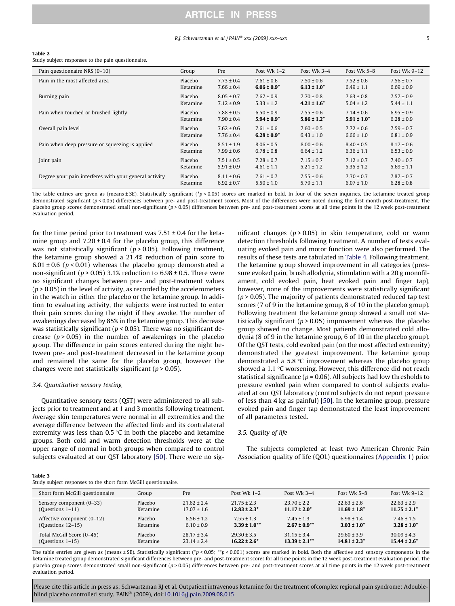## ARTICLE IN PRESS

#### R.I. Schwartzman et al. / PAIN<sup>®</sup> xxx (2009) xxx–xxx 5

#### <span id="page-4-0"></span>Table 2

Study subject responses to the pain questionnaire.

| Pain questionnaire NRS (0-10)                          | Group    | Pre            | Post Wk $1-2$    | Post Wk 3-4      | Post Wk 5-8      | Post Wk 9-12   |
|--------------------------------------------------------|----------|----------------|------------------|------------------|------------------|----------------|
| Pain in the most affected area                         | Placebo  | $7.73 \pm 0.4$ | $7.61 \pm 0.6$   | $7.50 \pm 0.6$   | $7.52 \pm 0.6$   | $7.56 \pm 0.7$ |
|                                                        | Ketamine | $7.66 \pm 0.4$ | $6.06 \pm 0.9^*$ | $6.13 \pm 1.0^*$ | $6.49 \pm 1.1$   | $6.69 \pm 0.9$ |
| Burning pain                                           | Placebo  | $8.05 \pm 0.7$ | $7.67 \pm 0.9$   | $7.70 \pm 0.8$   | $7.63 \pm 0.8$   | $7.57 \pm 0.9$ |
|                                                        | Ketamine | $7.12 \pm 0.9$ | $5.33 \pm 1.2$   | $4.21 \pm 1.6^*$ | $5.04 \pm 1.2$   | $5.44 \pm 1.1$ |
| Pain when touched or brushed lightly                   | Placebo  | $7.88 \pm 0.5$ | $6.50 \pm 0.9$   | $7.55 \pm 0.6$   | $7.14 \pm 0.6$   | $6.95 \pm 0.9$ |
|                                                        | Ketamine | $7.90 \pm 0.4$ | $5.94 \pm 0.9^*$ | $5.86 \pm 1.2^*$ | $5.91 \pm 1.0^*$ | $6.28 \pm 0.9$ |
| Overall pain level                                     | Placebo  | $7.62 \pm 0.6$ | $7.61 \pm 0.6$   | $7.60 \pm 0.5$   | $7.72 \pm 0.6$   | $7.59 \pm 0.7$ |
|                                                        | Ketamine | $7.76 \pm 0.4$ | $6.28 \pm 0.9^*$ | $6.43 \pm 1.0$   | $6.66 \pm 1.0$   | $6.81 \pm 0.9$ |
| Pain when deep pressure or squeezing is applied        | Placebo  | $8.51 \pm 1.9$ | $8.06 \pm 0.5$   | $8.00 \pm 0.6$   | $8.40 \pm 0.5$   | $8.17 \pm 0.6$ |
|                                                        | Ketamine | $7.99 \pm 0.6$ | $6.78 \pm 0.8$   | $6.64 \pm 1.2$   | $6.36 \pm 1.1$   | $6.53 \pm 0.9$ |
| Joint pain                                             | Placebo  | $7.51 \pm 0.5$ | $7.28 \pm 0.7$   | $7.15 \pm 0.7$   | $7.12 \pm 0.7$   | $7.40 \pm 0.7$ |
|                                                        | Ketamine | $5.91 \pm 0.9$ | $4.61 \pm 1.1$   | $5.21 \pm 1.2$   | $5.35 \pm 1.2$   | $5.69 \pm 1.1$ |
| Degree your pain interferes with your general activity | Placebo  | $8.11 \pm 0.6$ | $7.61 \pm 0.7$   | $7.55 \pm 0.6$   | $7.70 \pm 0.7$   | $7.87 \pm 0.7$ |
|                                                        | Ketamine | $6.92 \pm 0.7$ | $5.50 \pm 1.0$   | $5.79 \pm 1.1$   | $6.07 \pm 1.0$   | $6.28 \pm 0.8$ |

The table entries are given as (means ± SE). Statistically significant (\*p < 0.05) scores are marked in bold. In four of the seven inquiries, the ketamine treated group demonstrated significant (p < 0.05) differences between pre- and post-treatment scores. Most of the differences were noted during the first month post-treatment. The placebo group scores demonstrated small non-significant (p > 0.05) differences between pre- and post-treatment scores at all time points in the 12 week post-treatment evaluation period.

for the time period prior to treatment was  $7.51 \pm 0.4$  for the ketamine group and  $7.20 \pm 0.4$  for the placebo group, this difference was not statistically significant ( $p > 0.05$ ). Following treatment, the ketamine group showed a 21.4% reduction of pain score to 6.01  $\pm$  0.6 ( $p$  < 0.01) whereas the placebo group demonstrated a non-significant ( $p > 0.05$ ) 3.1% reduction to 6.98  $\pm$  0.5. There were no significant changes between pre- and post-treatment values  $(p > 0.05)$  in the level of activity, as recorded by the accelerometers in the watch in either the placebo or the ketamine group. In addition to evaluating activity, the subjects were instructed to enter their pain scores during the night if they awoke. The number of awakenings decreased by 85% in the ketamine group. This decrease was statistically significant ( $p < 0.05$ ). There was no significant decrease ( $p > 0.05$ ) in the number of awakenings in the placebo group. The difference in pain scores entered during the night between pre- and post-treatment decreased in the ketamine group and remained the same for the placebo group, however the changes were not statistically significant ( $p > 0.05$ ).

#### 3.4. Quantitative sensory testing

Quantitative sensory tests (QST) were administered to all subjects prior to treatment and at 1 and 3 months following treatment. Average skin temperatures were normal in all extremities and the average difference between the affected limb and its contralateral extremity was less than  $0.5 \text{ }^{\circ}\text{C}$  in both the placebo and ketamine groups. Both cold and warm detection thresholds were at the upper range of normal in both groups when compared to control subjects evaluated at our QST laboratory [\[50\].](#page-8-0) There were no significant changes ( $p > 0.05$ ) in skin temperature, cold or warm detection thresholds following treatment. A number of tests evaluating evoked pain and motor function were also performed. The results of these tests are tabulated in [Table 4.](#page-5-0) Following treatment, the ketamine group showed improvement in all categories (pressure evoked pain, brush allodynia, stimulation with a 20 g monofilament, cold evoked pain, heat evoked pain and finger tap), however, none of the improvements were statistically significant  $(p > 0.05)$ . The majority of patients demonstrated reduced tap test scores (7 of 9 in the ketamine group, 8 of 10 in the placebo group). Following treatment the ketamine group showed a small not statistically significant ( $p > 0.05$ ) improvement whereas the placebo group showed no change. Most patients demonstrated cold allodynia (8 of 9 in the ketamine group, 6 of 10 in the placebo group). Of the QST tests, cold evoked pain (on the most affected extremity) demonstrated the greatest improvement. The ketamine group demonstrated a 5.8  $\degree$ C improvement whereas the placebo group showed a 1.1  $\degree$ C worsening. However, this difference did not reach statistical significance ( $p = 0.06$ ). All subjects had low thresholds to pressure evoked pain when compared to control subjects evaluated at our QST laboratory (control subjects do not report pressure of less than 4 kg as painful) [\[50\]](#page-8-0). In the ketamine group, pressure evoked pain and finger tap demonstrated the least improvement of all parameters tested.

#### 3.5. Quality of life

The subjects completed at least two American Chronic Pain Association quality of life (QOL) questionnaires (Appendix 1) prior

#### Table 3

Study subject responses to the short form McGill questionnaire.

| Short form McGill questionnaire | Group    | Pre             | Post Wk $1-2$       | Post Wk $3-4$      | Post Wk $5-8$     | Post Wk 9-12      |
|---------------------------------|----------|-----------------|---------------------|--------------------|-------------------|-------------------|
| Sensory component (0–33)        | Placebo  | $21.62 \pm 2.4$ | $21.75 \pm 2.3$     | $23.70 \pm 2.2$    | $22.63 \pm 2.6$   | $22.63 \pm 2.9$   |
| (Questions $1-11$ )             | Ketamine | $17.07 \pm 1.6$ | $12.83 \pm 2.3^*$   | $11.17 \pm 2.0^*$  | $11.69 \pm 1.8^*$ | $11.75 \pm 2.1^*$ |
| Affective component (0-12)      | Placebo  | $6.56 \pm 1.2$  | $7.55 \pm 1.3$      | $7.45 \pm 1.3$     | $6.98 \pm 1.4$    | $7.46 \pm 1.5$    |
| $(Questions 12-15)$             | Ketamine | $6.10 \pm 0.9$  | $3.39 \pm 1.0^{**}$ | $2.67 \pm 0.9$ **  | $3.03 \pm 1.0^*$  | $3.28 \pm 1.0^*$  |
| Total McGill Score (0-45)       | Placebo  | $28.17 \pm 3.4$ | $29.30 \pm 3.5$     | $31.15 \pm 3.4$    | $29.60 \pm 3.9$   | $30.09 \pm 4.3$   |
| (Questions $1-15$ )             | Ketamine | $23.14 \pm 2.4$ | $16.22 \pm 2.6^*$   | $13.39 \pm 2.1***$ | $14.81 \pm 2.3^*$ | $15.44 \pm 2.6^*$ |

The table entries are given as (means ± SE). Statistically significant (\*p < 0.05; \*\*p < 0.001) scores are marked in bold. Both the affective and sensory components in the ketamine treated group demonstrated significant differences between pre- and post-treatment scores for all time points in the 12 week post-treatment evaluation period. The placebo group scores demonstrated small non-significant  $(p > 0.05)$  differences between pre- and post-treatment scores at all time points in the 12 week post-treatment evaluation period.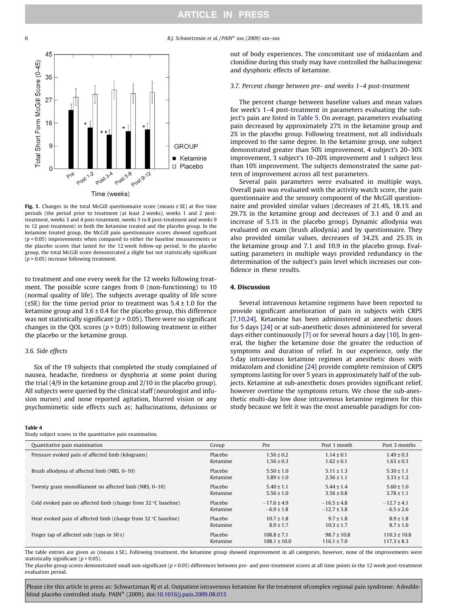#### <span id="page-5-0"></span>6 **6 R.J. Schwartzman et al. / PAIN<sup>®</sup> xxx (2009) xxx–xxx**



Fig. 1. Changes in the total McGill questionnaire score (means  $\pm$  SE) at five time periods (the period prior to treatment (at least 2 weeks), weeks 1 and 2 posttreatment, weeks 3 and 4 post-treatment, weeks 5 to 8 post-treatment and weeks 9 to 12 post-treatment) in both the ketamine treated and the placebo group. In the ketamine treated group, the McGill pain questionnaire scores showed significant  $(p < 0.05)$  improvements when compared to either the baseline measurements or the placebo scores that lasted for the 12 week follow-up period. In the placebo group, the total McGill score demonstrated a slight but not statistically significant  $(p > 0.05)$  increase following treatment.

to treatment and one every week for the 12 weeks following treatment. The possible score ranges from 0 (non-functioning) to 10 (normal quality of life). The subjects average quality of life score ( $\pm$ SE) for the time period prior to treatment was  $5.4 \pm 1.0$  for the ketamine group and  $3.6 \pm 0.4$  for the placebo group, this difference was not statistically significant ( $p > 0.05$ ). There were no significant changes in the QOL scores ( $p > 0.05$ ) following treatment in either the placebo or the ketamine group.

## 3.6. Side effects

Six of the 19 subjects that completed the study complained of nausea, headache, tiredness or dysphoria at some point during the trial (4/9 in the ketamine group and 2/10 in the placebo group). All subjects were queried by the clinical staff (neurologist and infusion nurses) and none reported agitation, blurred vision or any psychomimetic side effects such as; hallucinations, delusions or

#### Table 4

Study subject scores in the quantitative pain examination.

out of body experiences. The concomitant use of midazolam and clonidine during this study may have controlled the hallucinogenic and dysphoric effects of ketamine.

#### 3.7. Percent change between pre- and weeks 1–4 post-treatment

The percent change between baseline values and mean values for week's 1–4 post-treatment in parameters evaluating the subject's pain are listed in [Table 5](#page-6-0). On average, parameters evaluating pain decreased by approximately 27% in the ketamine group and 2% in the placebo group. Following treatment, not all individuals improved to the same degree. In the ketamine group, one subject demonstrated greater than 50% improvement, 4 subject's 20–30% improvement, 3 subject's 10–20% improvement and 1 subject less than 10% improvement. The subjects demonstrated the same pattern of improvement across all test parameters.

Several pain parameters were evaluated in multiple ways. Overall pain was evaluated with the activity watch score, the pain questionnaire and the sensory component of the McGill questionnaire and provided similar values (decreases of 21.4%, 18.1% and 29.7% in the ketamine group and decreases of 3.1 and 0 and an increase of 5.1% in the placebo group). Dynamic allodynia was evaluated on exam (brush allodynia) and by questionnaire. They also provided similar values, decreases of 34.2% and 25.3% in the ketamine group and 7.1 and 10.9 in the placebo group. Evaluating parameters in multiple ways provided redundancy in the determination of the subject's pain level which increases our confidence in these results.

## 4. Discussion

Several intravenous ketamine regimens have been reported to provide significant amelioration of pain in subjects with CRPS [\[7,10,24\]](#page-7-0). Ketamine has been administered at anesthetic doses for 5 days [\[24\]](#page-7-0) or at sub-anesthetic doses administered for several days either continuously [\[7\]](#page-7-0) or for several hours a day [\[10\]](#page-7-0). In general, the higher the ketamine dose the greater the reduction of symptoms and duration of relief. In our experience, only the 5 day intravenous ketamine regimen at anesthetic doses with midazolam and clonidine [\[24\]](#page-7-0) provide complete remission of CRPS symptoms lasting for over 5 years in approximately half of the subjects. Ketamine at sub-anesthetic doses provides significant relief, however overtime the symptoms return. We chose the sub-anesthetic multi-day low dose intravenous ketamine regimen for this study because we felt it was the most amenable paradigm for con-

| Quantitative pain examination                                           | Group    | Pre              | Post 1 month    | Post 3 months    |
|-------------------------------------------------------------------------|----------|------------------|-----------------|------------------|
| Pressure evoked pain of affected limb (kilograms)                       | Placebo  | $1.56 \pm 0.2$   | $1.14 \pm 0.1$  | $1.49 \pm 0.3$   |
|                                                                         | Ketamine | $1.56 \pm 0.3$   | $1.62 \pm 0.1$  | $1.63 \pm 0.3$   |
| Brush allodynia of affected limb (NRS, 0-10)                            | Placebo  | $5.50 \pm 1.0$   | $5.11 \pm 1.3$  | $5.30 \pm 1.1$   |
|                                                                         | Ketamine | $3.89 \pm 1.0$   | $2.56 \pm 1.1$  | $3.33 \pm 1.2$   |
| Twenty gram monofilament on affected limb (NRS, 0-10)                   | Placebo  | $5.40 \pm 1.1$   | $5.44 \pm 1.4$  | $5.60 \pm 1.0$   |
|                                                                         | Ketamine | $5.56 \pm 1.0$   | $3.56 \pm 0.8$  | $3.78 \pm 1.1$   |
| Cold evoked pain on affected limb (change from $32^{\circ}$ C baseline) | Placebo  | $-17.6 \pm 4.9$  | $-16.5 \pm 4.8$ | $-12.7 \pm 4.1$  |
|                                                                         | Ketamine | $-6.9 \pm 1.8$   | $-12.7 \pm 3.8$ | $-6.5 \pm 2.6$   |
| Heat evoked pain of affected limb (change from $32^{\circ}$ C baseline) | Placebo  | $10.7 \pm 1.8$   | $9.7 \pm 1.8$   | $8.9 \pm 1.8$    |
|                                                                         | Ketamine | $8.9 \pm 1.7$    | $10.3 \pm 1.7$  | $8.7 \pm 1.6$    |
| Finger tap of affected side (taps in 30 s)                              | Placebo  | $108.8 \pm 7.1$  | $98.7 \pm 10.8$ | $110.3 \pm 10.8$ |
|                                                                         | Ketamine | $108.1 \pm 10.0$ | $116.1 \pm 7.0$ | $117.3 \pm 8.3$  |

The table entries are given as (means ± SE). Following treatment, the ketamine group showed improvement in all categories, however, none of the improvements were statistically significant ( $p > 0.05$ ).

The placebo group scores demonstrated small non-significant ( $p > 0.05$ ) differences between pre- and post-treatment scores at all time points in the 12 week post-treatment evaluation period.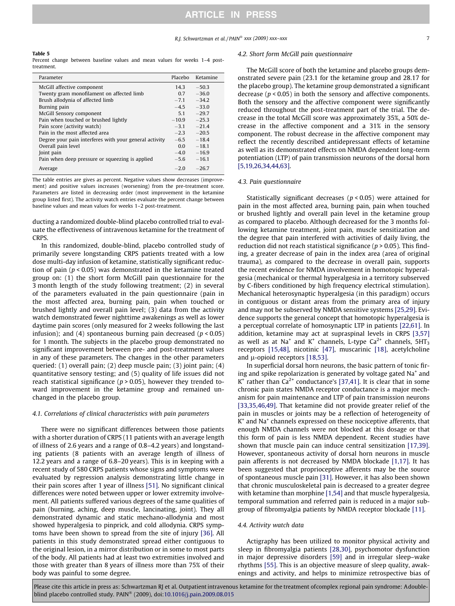#### <span id="page-6-0"></span>Table 5

Percent change between baseline values and mean values for weeks 1–4 posttreatment.

| Parameter                                              | Placebo | Ketamine |
|--------------------------------------------------------|---------|----------|
| McGill affective component                             | 14.3    | $-50.3$  |
| Twenty gram monofilament on affected limb              | 0.7     | $-36.0$  |
| Brush allodynia of affected limb                       | $-7.1$  | $-34.2$  |
| Burning pain                                           | $-4.5$  | $-33.0$  |
| McGill Sensory component                               | 51      | $-29.7$  |
| Pain when touched or brushed lightly                   | $-10.9$ | $-25.3$  |
| Pain score (activity watch)                            | $-3.1$  | $-21.4$  |
| Pain in the most affected area                         | $-2.3$  | $-20.5$  |
| Degree your pain interferes with your general activity | $-6.5$  | $-18.4$  |
| Overall pain level                                     | 0.0     | $-18.1$  |
| Joint pain                                             | $-4.0$  | $-16.9$  |
| Pain when deep pressure or squeezing is applied        | $-5.6$  | $-16.1$  |
| Average                                                | $-2.0$  | $-26.7$  |

The table entries are gives as percent. Negative values show decreases (improvement) and positive values increases (worsening) from the pre-treatment score. Parameters are listed in decreasing order (most improvement in the ketamine group listed first). The activity watch entries evaluate the percent change between baseline values and mean values for weeks 1–2 post-treatment.

ducting a randomized double-blind placebo controlled trial to evaluate the effectiveness of intravenous ketamine for the treatment of CRPS.

In this randomized, double-blind, placebo controlled study of primarily severe longstanding CRPS patients treated with a low dose multi-day infusion of ketamine, statistically significant reduction of pain ( $p < 0.05$ ) was demonstrated in the ketamine treated group on: (1) the short form McGill pain questionnaire for the 3 month length of the study following treatment; (2) in several of the parameters evaluated in the pain questionnaire (pain in the most affected area, burning pain, pain when touched or brushed lightly and overall pain level; (3) data from the activity watch demonstrated fewer nighttime awakenings as well as lower daytime pain scores (only measured for 2 weeks following the last infusion); and (4) spontaneous burning pain decreased ( $p < 0.05$ ) for 1 month. The subjects in the placebo group demonstrated no significant improvement between pre- and post-treatment values in any of these parameters. The changes in the other parameters queried: (1) overall pain; (2) deep muscle pain; (3) joint pain; (4) quantitative sensory testing; and (5) quality of life issues did not reach statistical significance ( $p > 0.05$ ), however they trended toward improvement in the ketamine group and remained unchanged in the placebo group.

#### 4.1. Correlations of clinical characteristics with pain parameters

There were no significant differences between those patients with a shorter duration of CRPS (11 patients with an average length of illness of 2.6 years and a range of 0.8–4.2 years) and longstanding patients (8 patients with an average length of illness of 12.2 years and a range of 6.8–20 years). This is in keeping with a recent study of 580 CRPS patients whose signs and symptoms were evaluated by regression analysis demonstrating little change in their pain scores after 1 year of illness [\[51\].](#page-8-0) No significant clinical differences were noted between upper or lower extremity involvement. All patients suffered various degrees of the same qualities of pain (burning, aching, deep muscle, lancinating, joint). They all demonstrated dynamic and static mechano-allodynia and most showed hyperalgesia to pinprick, and cold allodynia. CRPS symptoms have been shown to spread from the site of injury [\[36\]](#page-8-0). All patients in this study demonstrated spread either contiguous to the original lesion, in a mirror distribution or in some to most parts of the body. All patients had at least two extremities involved and those with greater than 8 years of illness more than 75% of their body was painful to some degree.

#### 4.2. Short form McGill pain questionnaire

The McGill score of both the ketamine and placebo groups demonstrated severe pain (23.1 for the ketamine group and 28.17 for the placebo group). The ketamine group demonstrated a significant decrease ( $p < 0.05$ ) in both the sensory and affective components. Both the sensory and the affective component were significantly reduced throughout the post-treatment part of the trial. The decrease in the total McGill score was approximately 35%, a 50% decrease in the affective component and a 31% in the sensory component. The robust decrease in the affective component may reflect the recently described antidepressant effects of ketamine as well as its demonstrated effects on NMDA dependent long-term potentiation (LTP) of pain transmission neurons of the dorsal horn [\[5,19,26,34,44,63\]](#page-7-0).

## 4.3. Pain questionnaire

Statistically significant decreases ( $p < 0.05$ ) were attained for pain in the most affected area, burning pain, pain when touched or brushed lightly and overall pain level in the ketamine group as compared to placebo. Although decreased for the 3 months following ketamine treatment, joint pain, muscle sensitization and the degree that pain interfered with activities of daily living, the reduction did not reach statistical significance ( $p > 0.05$ ). This finding, a greater decrease of pain in the index area (area of original trauma), as compared to the decrease in overall pain, supports the recent evidence for NMDA involvement in homotopic hyperalgesia (mechanical or thermal hyperalgesia in a territory subserved by C-fibers conditioned by high frequency electrical stimulation). Mechanical heterosynaptic hyperalgesia (in this paradigm) occurs in contiguous or distant areas from the primary area of injury and may not be subserved by NMDA sensitive systems [\[25,29\].](#page-7-0) Evidence supports the general concept that homotopic hyperalgesia is a perceptual correlate of homosynaptic LTP in patients [\[22,61\]](#page-7-0). In addition, ketamine may act at supraspinal levels in CRPS [\[3,57\]](#page-7-0) as well as at Na<sup>+</sup> and K<sup>+</sup> channels, L-type Ca<sup>2+</sup> channels, 5HT<sub>3</sub> receptors [\[15,48\]](#page-7-0), nicotinic [\[47\],](#page-8-0) muscarinic [\[18\],](#page-7-0) acetylcholine and  $\mu$ -opioid receptors [\[18,53\]](#page-7-0).

In superficial dorsal horn neurons, the basic pattern of tonic firing and spike repolarization is generated by voltage gated  $Na<sup>+</sup>$  and  $K^+$  rather than  $Ca^{2+}$  conductance's [\[37,41\].](#page-8-0) It is clear that in some chronic pain states NMDA receptor conductance is a major mechanism for pain maintenance and LTP of pain transmission neurons [\[33,35,46,49\]](#page-7-0). That ketamine did not provide greater relief of the pain in muscles or joints may be a reflection of heterogeneity of  $K^+$  and Na<sup>+</sup> channels expressed on these nociceptive afferents, that enough NMDA channels were not blocked at this dosage or that this form of pain is less NMDA dependent. Recent studies have shown that muscle pain can induce central sensitization [\[17,39\].](#page-7-0) However, spontaneous activity of dorsal horn neurons in muscle pain afferents is not decreased by NMDA blockade [\[1,17\]](#page-7-0). It has been suggested that proprioceptive afferents may be the source of spontaneous muscle pain [\[31\]](#page-7-0). However, it has also been shown that chronic musculoskeletal pain is decreased to a greater degree with ketamine than morphine [\[1,54\]](#page-7-0) and that muscle hyperalgesia, temporal summation and referred pain is reduced in a major subgroup of fibromyalgia patients by NMDA receptor blockade [\[11\]](#page-7-0).

#### 4.4. Activity watch data

Actigraphy has been utilized to monitor physical activity and sleep in fibromyalgia patients [\[28,30\],](#page-7-0) psychomotor dysfunction in major depressive disorders [\[59\]](#page-8-0) and in irregular sleep–wake rhythms [\[55\].](#page-8-0) This is an objective measure of sleep quality, awakenings and activity, and helps to minimize retrospective bias of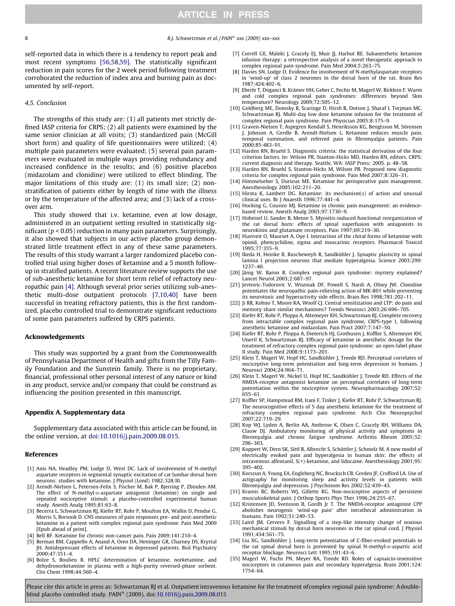<span id="page-7-0"></span>self-reported data in which there is a tendency to report peak and most recent symptoms [\[56,58,59\]](#page-8-0). The statistically significant reduction in pain scores for the 2 week period following treatment corroborated the reduction of index area and burning pain as documented by self-report.

#### 4.5. Conclusion

The strengths of this study are: (1) all patients met strictly defined IASP criteria for CRPS; (2) all patients were examined by the same senior clinician at all visits; (3) standardized pain (McGill short form) and quality of life questionnaires were utilized; (4) multiple pain parameters were evaluated; (5) several pain parameters were evaluated in multiple ways providing redundancy and increased confidence in the results; and (6) positive placebos (midazolam and clonidine) were utilized to effect blinding. The major limitations of this study are: (1) its small size; (2) nonstratification of patients either by length of time with the illness or by the temperature of the affected area; and (3) lack of a crossover arm.

This study showed that i.v. ketamine, even at low dosage, administered in an outpatient setting resulted in statistically significant ( $p < 0.05$ ) reduction in many pain parameters. Surprisingly, it also showed that subjects in our active placebo group demonstrated little treatment effect in any of these same parameters. The results of this study warrant a larger randomized placebo controlled trial using higher doses of ketamine and a 5 month followup in stratified patients. A recent literature review supports the use of sub-anesthetic ketamine for short term relief of refractory neuropathic pain [4]. Although several prior series utilizing sub-anesthetic multi-dose outpatient protocols [7,10,40] have been successful in treating refractory patients, this is the first randomized, placebo controlled trial to demonstrate significant reductions of some pain parameters suffered by CRPS patients.

#### Acknowledgements

This study was supported by a grant from the Commonwealth of Pennsylvania Department of Health and gifts from the Tilly Family Foundation and the Sunstein family. There is no proprietary, financial, professional other personal interest of any nature or kind in any product, service and/or company that could be construed as influencing the position presented in this manuscript.

#### Appendix A. Supplementary data

Supplementary data associated with this article can be found, in the online version, at [doi:10.1016/j.pain.2009.08.015](http://dx.doi.org/10.1016/j.pain.2009.08.015).

#### References

- [1] Anis NA, Headley PM, Lodge D, West DC. Lack of involvement of N-methyl aspartate receptors in segmental synaptic excitation of cat lumbar dorsal horn neurons: studies with ketamine. J Physiol (Lond) 1982;328:l0.
- [2] Arendt-Nielsen L, Petersen-Felix S, Fischer M, Bak P, Bjerring P, Zbinden AM. The effect of N-methyl-p-aspartate antagonist (ketamine) on single and repeated nociceptive stimuli: a placebo-controlled experimental human study. Anesth Analg 1995;81:63–8.
- [3] Becerra L, Schwartzman RJ, Kiefer RT, Rohr P, Moulton EA, Wallin D, Pendse G, Morris S, Borsook D. CNS measures of pain responses pre- and post-anesthetic ketamine in a patient with complex regional pain syndrome. Pain Med 2009 [Epub ahead of print].
- [4] Bell RF. Ketamine for chronic non-cancer pain. Pain 2009;141:210-4.
- [5] Berman RM, Cappiello A, Anand A, Oren DA, Heninger GR, Charney DS, Krystal JH. Antidepressant effects of ketamine in depressed patients. Biol Psychiatry 2000;47:351–4.
- [6] Bolze S, Boulieu R. HPLC determination of ketamine, norketamine, and dehydronorketamine in plasma with a high-purity reversed-phase sorbent. Clin Chem 1998;44:560–4.
- [7] Correll GE, Maleki J, Gracely EJ, Muir JJ, Harbut RE. Subanesthetic ketamine infusion therapy: a retrospective analysis of a novel therapeutic approach to complex regional pain syndrome. Pain Med 2004;5:263–75.
- Davies SN, Lodge D. Evidence for involvement of N-methylaspartate receptors in 'wind-up' of class 2 neurones in the dorsal horn of the rat. Brain Res 1987;424:402–6.
- [9] Eberle T, Doganci B, Krämer HH, Geber C, Fechir M, Magerl W, Birklein F. Warm and cold complex regional pain syndromes: differences beyond Skin temperature? Neurology 2009;72:505–12.
- [10] Goldberg ME, Domsky R, Scaringe D, Hirsh R, Dotson J, Sharaf I, Torjman MC, Schwartzman RJ. Multi-day low dose ketamine infusion for the treatment of complex regional pain syndrome. Pain Physician 2005;8:175–9.
- [11] Graven-Nielsen T, Aspegren Kendall S, Henriksson KG, Bengtsson M, Sörensen J, Johnson A, Gerdle B, Arendt-Nielsen L. Ketamine reduces muscle pain, temporal summation, and referred pain in fibromyalgia patients. Pain  $2000.85.483 - 91$
- [12] Harden RN, Bruehl S. Diagnostic criteria: the statistical derivation of the four criterion factors. In: Wilson PR, Stanton-Hicks MD, Harden RN, editors. CRPS: current diagnosis and therapy. Seattle, WA: IASP Press; 2005. p. 48–58.
- [13] Harden RN, Bruehl S, Stanton-Hicks M, Wilson PR. Proposed new diagnostic criteria for complex regional pain syndrome. Pain Med 2007;8:326–31.
- [14] Himmelseher S, Durieux ME. Ketamine for perioperative pain management. Anesthesiology 2005;102:211–20.
- [15] Hirota K, Lambert DG. Ketamine: its mechanism(s) of action and unusual clinical uses. Br J Anaesth 1996;77:441–4.
- [16] Hocking G, Cousins MJ. Ketamine in chronic pain management: an evidencebased review. Anesth Analg 2003;97:1730–9.
- [17] Hoheisel U, Sander B, Mense S. Myositis-induced functional reorganization of the rat dorsal horn: effects of spinal superfusion with antagonists to neurokinin and glutamate receptors. Pain 1997;69:219–30.
- [18] Hustveit O, Maurset A, Oye I. Interaction of the chiral forms of ketamine with opioid, phencyclidine, sigma and muscarinic receptors. Pharmacol Toxicol 1995;77:355–9.
- [19] Ikeda H, Heinke B, Ruscheweyh R, Sandkühler J. Synaptic plasticity in spinal lamina I projection neurons that mediate hyperalgesia. Science 2003;299: 1237–40.
- [20] Jänig W, Baron R. Complex regional pain syndrome: mystery explained? Lancet Neurol 2003;2:687–97.
- [21] Jevtovic-Todorovic V, Wozniak DF, Powell S, Nardi A, Olney JW. Clonidine potentiates the neuropathic pain-relieving action of MK-801 while preventing its neurotoxic and hyperactivity side effects. Brain Res 1998;781:202–11.
- [22] Ji RR, Kohno T, Moore KA, Woolf CJ. Central sensitization and LTP: do pain and memory share similar mechanisms? Trends Neurosci 2003;26:696–705.
- [23] Kiefer RT, Rohr P, Ploppa A, Altemeyer KH, Schwartzman RJ. Complete recovery from intractable complex regional pain syndrome, CRPS-type I, following anesthetic ketamine and midazolam. Pain Pract 2007;7:147–50.
- [24] Kiefer RT, Rohr P, Ploppa A, Dieterich HJ, Grothusen J, Koffler S, Altemeyer KH, Unertl K, Schwartzman RJ. Efficacy of ketamine in anesthetic dosage for the treatment of refractory complex regional pain syndrome: an open-label phase II study. Pain Med 2008;9:1173–201.
- [25] Klein T, Magerl W, Hopf HC, Sandkühler J, Treede RD. Perceptual correlates of nociceptive long-term potentiation and long-term depression in humans. J Neurosci 2004;24:964–71.
- [26] Klein T, Magerl W, Nickel U, Hopf HC, Sandkühler J, Treede RD. Effects of the NMDA-receptor antagonist ketamine on perceptual correlates of long-term potentiation within the nociceptive system. Neuropharmacology 2007;52: 655–61.
- [27] Koffler SP, Hampstead BM, Irani F, Tinker J, Kiefer RT, Rohr P, Schwartzman RJ. The neurocognitive effects of 5 day anesthetic ketamine for the treatment of refractory complex regional pain syndrome. Arch Clin Neuropsychol 2007;22:719–29.
- [28] Kop WJ, Lyden A, Berlin AA, Ambrose K, Olsen C, Gracely RH, Williams DA, Clauw DJ. Ambulatory monitoring of physical activity and symptoms in fibromyalgia and chronic fatigue syndrome. Arthritis Rheum 2005;52: 296–303.
- [29] Koppert W, Dern SK, Sittl R, Albrecht S, Schüttler J, Schmelz M. A new model of electrically evoked pain and hyperalgesia in human skin: the effects of intravenous alfentanil, S(+)-ketamine, and lidocaine. Anesthesiology 2001;95: 395–402.
- [30] Korszun A, Young EA, Engleberg NC, Brucksch CB, Greden JF, Crofford LA. Use of actigraphy for monitoring sleep and activity levels in patients with fibromyalgia and depression. J Psychosom Res 2002;52:439–43.
- [31] Kramis RC, Roberts WJ, Gillette RG. Non-nociceptive aspects of persistent musculoskeletal pain. J Orthop Sports Phys Ther 1996;24:255–67.
- [32] Kristensen JD, Svensson B, Gordh Jr T. The NMDA-receptor antagonist CPP abolishes neurogenic 'wind-up pain' after intrathecal administration in humans. Pain 1992;51:249–53.
- [33] Laird JM, Cervero F. Signalling of a step-like intensity change of noxious mechanical stimuli by dorsal horn neurones in the rat spinal cord. J Physiol 1991;434:561–75.
- [34] Liu XG, Sandkühler J. Long-term potentiation of C-fiber-evoked potentials in the rat spinal dorsal horn is prevented by spinal N-methyl-D-aspartic acid receptor blockage. Neurosci Lett 1995;191:43–6.
- [35] Magerl W, Fuchs PN, Meyer RA, Treede RD. Roles of capsaicin-insensitive nociceptors in cutaneous pain and secondary hyperalgesia. Brain 2001;124: 1754–64.